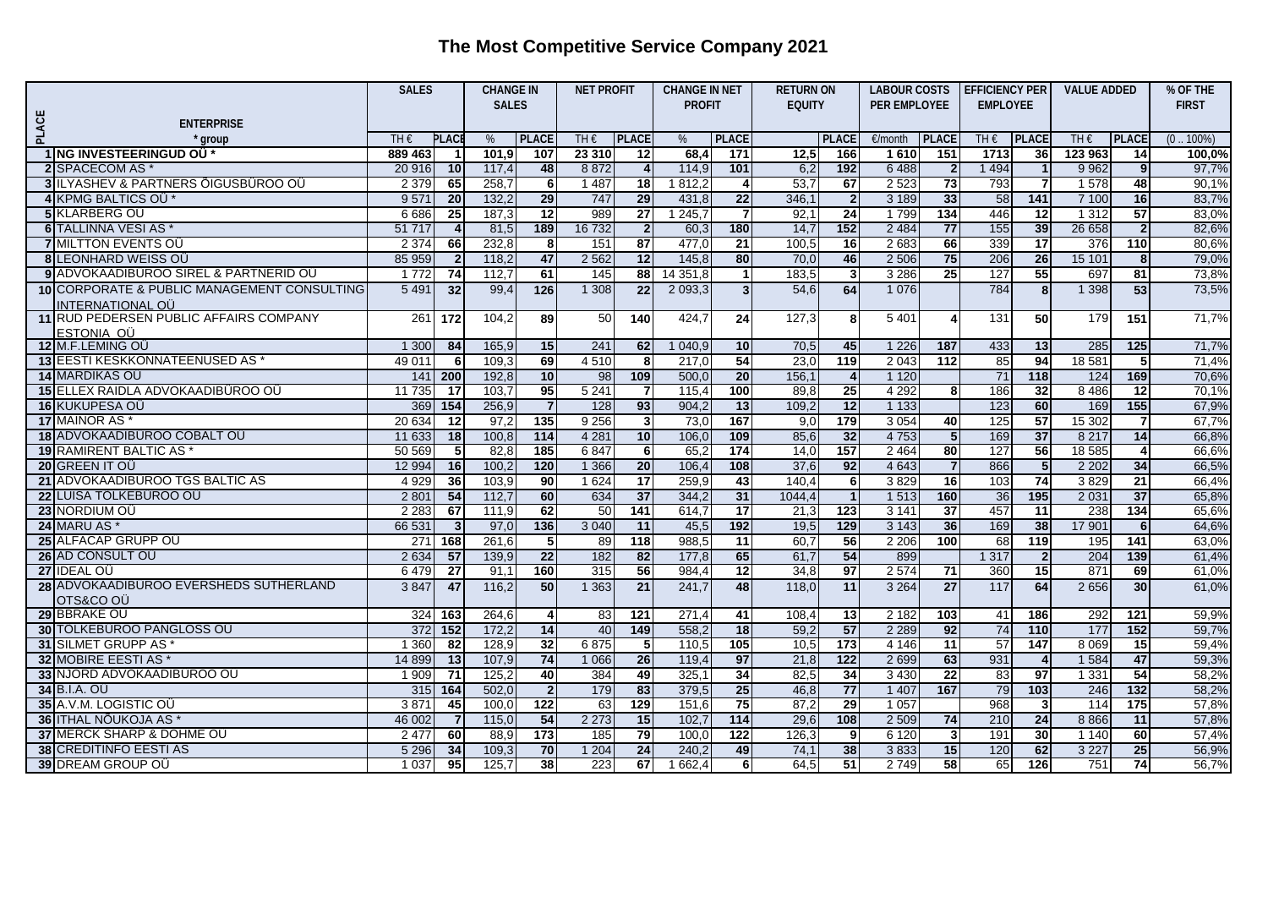## **The Most Competitive Service Company 2021**

|              |                                                | <b>SALES</b> |                         | <b>CHANGE IN</b><br><b>NET PROFIT</b> |                  |               | <b>CHANGE IN NET</b> |               | <b>RETURN ON</b> |               | <b>LABOUR COSTS</b>     |              | <b>EFFICIENCY PER</b> |                 | <b>VALUE ADDED</b> |         | % OF THE        |              |
|--------------|------------------------------------------------|--------------|-------------------------|---------------------------------------|------------------|---------------|----------------------|---------------|------------------|---------------|-------------------------|--------------|-----------------------|-----------------|--------------------|---------|-----------------|--------------|
|              |                                                |              |                         | <b>SALES</b>                          |                  |               |                      | <b>PROFIT</b> |                  | <b>EQUITY</b> |                         | PER EMPLOYEE |                       | <b>EMPLOYEE</b> |                    |         |                 | <b>FIRST</b> |
|              | <b>ENTERPRISE</b>                              |              |                         |                                       |                  |               |                      |               |                  |               |                         |              |                       |                 |                    |         |                 |              |
| <b>PLACE</b> | * group                                        | TH€          | <b>PLACI</b>            | %                                     | <b>PLACE</b>     | TH $\epsilon$ | <b>PLACE</b>         | %             | <b>PLACE</b>     |               | <b>PLACE</b>            | €/month      | <b>PLACE</b>          | TH $\epsilon$   | <b>PLACE</b>       | THE     | <b>PLACE</b>    | $(0.100\%)$  |
|              | 1 ING INVESTEERINGUD OU*                       | 889 463      | -1                      | 101.9                                 | 107              | 23 310        | $\overline{12}$      | 68.4          | 171              | 12,5          | 166                     | 1610         | 151                   | 1713            | 36                 | 123 963 | $\overline{14}$ | 100,0%       |
|              | 2 SPACECOM AS *                                | 20 916       | 10                      | 117,4                                 | 48               | 8872          | 4                    | 114,9         | 101              | 6,2           | 192                     | 6488         | $\mathbf{2}$          | 1 4 9 4         |                    | 9 9 6 2 | 9 <sub>l</sub>  | 97,7%        |
|              | <b>3 ILYASHEV &amp; PARTNERS ÖIGUSBÜROO OÜ</b> | 2 3 7 9      | 65                      | 258,7                                 | 6                | 1 4 8 7       | 18                   | 1812,2        | 4                | 53,7          | 67                      | 2 5 2 3      | $\overline{73}$       | 793             | $\overline{7}$     | 1578    | 48              | 90,1%        |
|              | 4 KPMG BALTICS OU *                            | 9571         | $\overline{20}$         | 132,2                                 | 29               | 747           | 29                   | 431,8         | 22               | 346,1         | $\mathbf{2}$            | 3 1 8 9      | 33                    | 58              | $\overline{141}$   | 7 100   | 16              | 83,7%        |
|              | 5 KLARBERG OU                                  | 6 6 8 6      | 25                      | 187,3                                 | 12               | 989           | 27                   | 1245,7        | $\overline{7}$   | 92,1          | 24                      | 1799         | 134                   | 446             | 12                 | 1 3 1 2 | 57              | 83,0%        |
|              | 6 TALLINNA VESI AS *                           | 51 717       | $\overline{4}$          | 81,5                                  | 189              | 16 732        | $\overline{2}$       | 60,3          | 180              | 14,7          | 152                     | 2 4 8 4      | 77                    | 155             | 39                 | 26 658  | $\overline{2}$  | 82,6%        |
|              | <b>7 MILTTON EVENTS OU</b>                     | 2 3 7 4      | 66                      | 232,8                                 | 8                | 151           | 87                   | 477,0         | 21               | 100,5         | 16                      | 2683         | 66                    | 339             | 17                 | 376     | 110             | 80,6%        |
|              | <b>8ILEONHARD WEISS OU</b>                     | 85 959       | $\overline{2}$          | 118,2                                 | 47               | 2 5 6 2       | 12                   | 145,8         | $\overline{80}$  | 70,0          | 46                      | 2 5 0 6      | 75                    | 206             | 26                 | 15 101  | 8               | 79,0%        |
|              | 9 ADVOKAADIBUROO SIREL & PARTNERID OU          | 1 7 7 2      | 74                      | 112,7                                 | 61               | 145           | 88                   | 14 351,8      | $\mathbf{1}$     | 183,5         | $\overline{\mathbf{3}}$ | 3 2 8 6      | 25                    | 127             | 55                 | 697     | 81              | 73,8%        |
|              | 10 CORPORATE & PUBLIC MANAGEMENT CONSULTING    | 5 4 9 1      | 32                      | 99,4                                  | 126              | 1 308         | $\overline{22}$      | 2 0 9 3 , 3   | 3 <sup>1</sup>   | 54,6          | 64                      | 1 0 7 6      |                       | 784             | 8 <sup>1</sup>     | 1 3 9 8 | 53              | 73,5%        |
|              | <b>INTERNATIONAL OU</b>                        |              |                         |                                       |                  |               |                      |               |                  |               |                         |              |                       |                 |                    |         |                 |              |
|              | 11 RUD PEDERSEN PUBLIC AFFAIRS COMPANY         | 261          | $\overline{172}$        | 104,2                                 | 89               | 50            | 140                  | 424,7         | 24               | 127,3         | 8                       | 5 4 0 1      | 4                     | 131             | 50                 | 179     | 151             | 71,7%        |
|              | ESTONIA OÜ                                     |              |                         |                                       |                  |               |                      |               |                  |               |                         |              |                       |                 |                    |         |                 |              |
|              | 12 M.F.LEMING OU                               | 1 300        | 84                      | 165,9                                 | 15               | 241           | 62                   | 1040,9        | 10 <sup>1</sup>  | 70,5          | 45                      | 1 2 2 6      | 187                   | 433             | 13                 | 285     | 125             | 71,7%        |
|              | 13 EESTI KESKKONNATEENUSED AS                  | 49 011       | - 6                     | 109.3                                 | 69               | 4 5 1 0       | 8                    | 217,0         | 54               | 23,0          | 119                     | 2043         | 112                   | 85              | 94                 | 18 5 81 | 51              | 71,4%        |
|              | 14 MARDIKAS OÜ                                 | 141          | 200                     | 192,8                                 | 10               | 98            | 109                  | 500,0         | 20               | 156,1         | $\overline{4}$          | 1 1 2 0      |                       | $\overline{71}$ | $\frac{118}{118}$  | 124     | 169             | 70,6%        |
|              | 15 ELLEX RAIDLA ADVOKAADIBÜROO OÜ              | 11 735       | 17                      | 103,7                                 | 95               | 5241          | 7                    | 115,4         | 100              | 89,8          | 25                      | 4 2 9 2      | 8                     | 186             | 32                 | 8 4 8 6 | 12              | 70,1%        |
|              | 16 KUKUPESA OU                                 | 369          | 154                     | 256,9                                 | $\overline{7}$   | 128           | 93                   | 904,2         | 13               | 109,2         | 12                      | 1 1 3 3      |                       | 123             | 60                 | 169     | 155             | 67,9%        |
|              | 17 MAINOR AS*                                  | 20 634       | 12                      | 97.2                                  | $\overline{135}$ | 9256          | 3                    | 73,0          | 167              | 9,0           | 179                     | 3 0 5 4      | 40                    | 125             | $\overline{57}$    | 15 30 2 | $\overline{7}$  | 67,7%        |
|              | 18 ADVOKAADIBUROO COBALT OU                    | 11 633       | 18                      | 100,8                                 | $\overline{114}$ | 4 2 8 1       | 10                   | 106,0         | 109              | 85,6          | 32                      | 4753         | $5\phantom{.0}$       | 169             | 37                 | 8 2 1 7 | 14              | 66,8%        |
|              | 19 RAMIRENT BALTIC AS *                        | 50 569       | $\sqrt{5}$              | 82,8                                  | 185              | 6847          | 6                    | 65,2          | $\overline{174}$ | 14,0          | 157                     | 2 4 6 4      | 80                    | 127             | 56                 | 18 5 85 | $\overline{4}$  | 66,6%        |
|              | 20 GREEN IT OU                                 | 12 9 94      | 16                      | 100,2                                 | 120              | 1 3 6 6       | 20                   | 106,4         | 108              | 37,6          | 92                      | 4 6 4 3      | $\overline{7}$        | 866             | 5                  | 2 2 0 2 | 34              | 66,5%        |
|              | 21 ADVOKAADIBUROO TGS BALTIC AS                | 4 9 2 9      | 36                      | 103,9                                 | 90               | 1 6 2 4       | $\overline{17}$      | 259,9         | 43               | 140,4         | 6                       | 3829         | 16                    | 103             | 74                 | 3829    | 21              | 66,4%        |
|              | 22 LUISA TÖLKEBÜROO OÜ                         | 2801         | 54                      | 112,7                                 | 60               | 634           | 37                   | 344,2         | 31               | 1044,4        | $\mathbf{1}$            | 1 5 1 3      | 160                   | 36              | 195                | 2 0 3 1 | 37              | 65,8%        |
|              | 23 NORDIUM OU                                  | 2 2 8 3      | 67                      | 111,9                                 | 62               | 50            | 141                  | 614,7         | $\overline{17}$  | 21,3          | 123                     | 3 1 4 1      | 37                    | 457             | 11                 | 238     | 134             | 65,6%        |
|              | 24 MARU AS *                                   | 66 531       | $\overline{\mathbf{3}}$ | 97,0                                  | 136              | 3 0 4 0       | $\overline{11}$      | 45,5          | 192              | 19,5          | 129                     | 3 1 4 3      | 36                    | 169             | 38                 | 17 901  | 6 <sup>1</sup>  | 64,6%        |
|              | 25 ALFACAP GRUPP OU                            | 271          | 168                     | 261,6                                 | 5                | 89            | 118                  | 988,5         | 11               | 60,7          | 56                      | 2 2 0 6      | 100                   | 68              | 119                | 195     | 141             | 63,0%        |
|              | 26 AD CONSULT OU                               | 2634         | 57                      | 139,9                                 | 22               | 182           | 82                   | 177,8         | 65               | 61,7          | 54                      | 899          |                       | 1 3 1 7         | $\mathbf{2}$       | 204     | 139             | 61.4%        |
|              | 27 IDEAL OU                                    | 6479         | $\overline{27}$         | 91,1                                  | 160              | 315           | 56                   | 984,4         | 12               | 34,8          | 97                      | 2 5 7 4      | $\overline{71}$       | 360             | 15                 | 871     | 69              | 61,0%        |
|              | 28 ADVOKAADIBUROO EVERSHEDS SUTHERLAND         | 3847         | 47                      | 116,2                                 | 50               | 1 3 6 3       | $\overline{21}$      | 241,7         | 48               | 118,0         | 11                      | 3 2 6 4      | 27                    | 117             | 64                 | 2 6 5 6 | 30              | 61,0%        |
|              | OTS&CO OÜ                                      |              |                         |                                       |                  |               |                      |               |                  |               |                         |              |                       |                 |                    |         |                 |              |
|              | 29 BBRAKE OU                                   | 324          | 163                     | 264,6                                 | 4                | 83            | $\overline{121}$     | 271,4         | 41               | 108,4         | $\overline{13}$         | 2 1 8 2      | 103                   | 41              | 186                | 292     | 121             | 59,9%        |
|              | <b>30 TOLKEBUROO PANGLOSS OU</b>               | 372          | $\overline{152}$        | 172,2                                 | 14               | 40            | 149                  | 558,2         | 18               | 59,2          | 57                      | 2 2 8 9      | 92                    | 74              | 110                | 177     | 152             | 59,7%        |
|              | 31 SILMET GRUPP AS                             | 1 3 6 0      | $\overline{82}$         | 128,9                                 | 32               | 6875          | 5                    | 110,5         | 105              | 10,5          | 173                     | 4 1 4 6      | 11                    | 57              | $\frac{1}{147}$    | 8 0 6 9 | 15              | 59,4%        |
|              | 32 MOBIRE EESTI AS *                           | 14 8 99      | $\overline{13}$         | 107,9                                 | 74               | 1 0 6 6       | 26                   | 119,4         | 97               | 21,8          | $\overline{122}$        | 2 6 9 9      | 63                    | 931             | 4                  | 1 5 8 4 | 47              | 59,3%        |
|              | 33 NJORD ADVOKAADIBÜROO OÜ                     | 1 909        | 71                      | 125,2                                 | 40               | 384           | 49                   | 325,1         | 34               | 82,5          | 34                      | 3 4 3 0      | 22                    | 83              | 97                 | 1 3 3 1 | 54              | 58,2%        |
|              | 34 B.I.A. OU                                   | 315          | 164                     | 502.0                                 | $\overline{2}$   | 179           | 83                   | 379,5         | 25               | 46,8          | 77                      | 1 4 0 7      | 167                   | 79              | 103                | 246     | 132             | 58,2%        |
|              | 35 A.V.M. LOGISTIC OU                          | 3871         | 45                      | 100,0                                 | 122              | 63            | 129                  | 151,6         | 75               | 87,2          | 29                      | 1 0 5 7      |                       | 968             | 3                  | 114     | 175             | 57,8%        |
|              | 36 ITHAL NÖUKOJA AS*                           | 46 002       | $\overline{7}$          | 115,0                                 | 54               | 2 2 7 3       | 15                   | 102,7         | $114$            | 29,6          | 108                     | 2 5 0 9      | 74                    | 210             | 24                 | 8 8 6 6 | 11              | 57,8%        |
|              | 37 MERCK SHARP & DOHME OU                      | 2 4 7 7      | 60                      | 88,9                                  | 173              | 185           | 79                   | 100,0         | 122              | 126,3         | 9                       | 6 1 20       | 3                     | 191             | 30                 | 1 140   | 60              | 57,4%        |
|              | <b>38 CREDITINFO EESTI AS</b>                  | 5 2 9 6      | 34                      | 109,3                                 | 70               | 1 2 0 4       | 24                   | 240,2         | 49               | 74,1          | 38                      | 3833         | 15                    | 120             | 62                 | 3 2 2 7 | 25              | 56,9%        |
|              | <b>39 DREAM GROUP OU</b>                       | 1 0 3 7      | 95                      | 125.7                                 | 38               | 223           | 67                   | 1 662,4       | 6 <sup>1</sup>   | 64,5          | $\overline{51}$         | 2749         | 58                    | 65              | 126                | 751     | $\overline{74}$ | 56,7%        |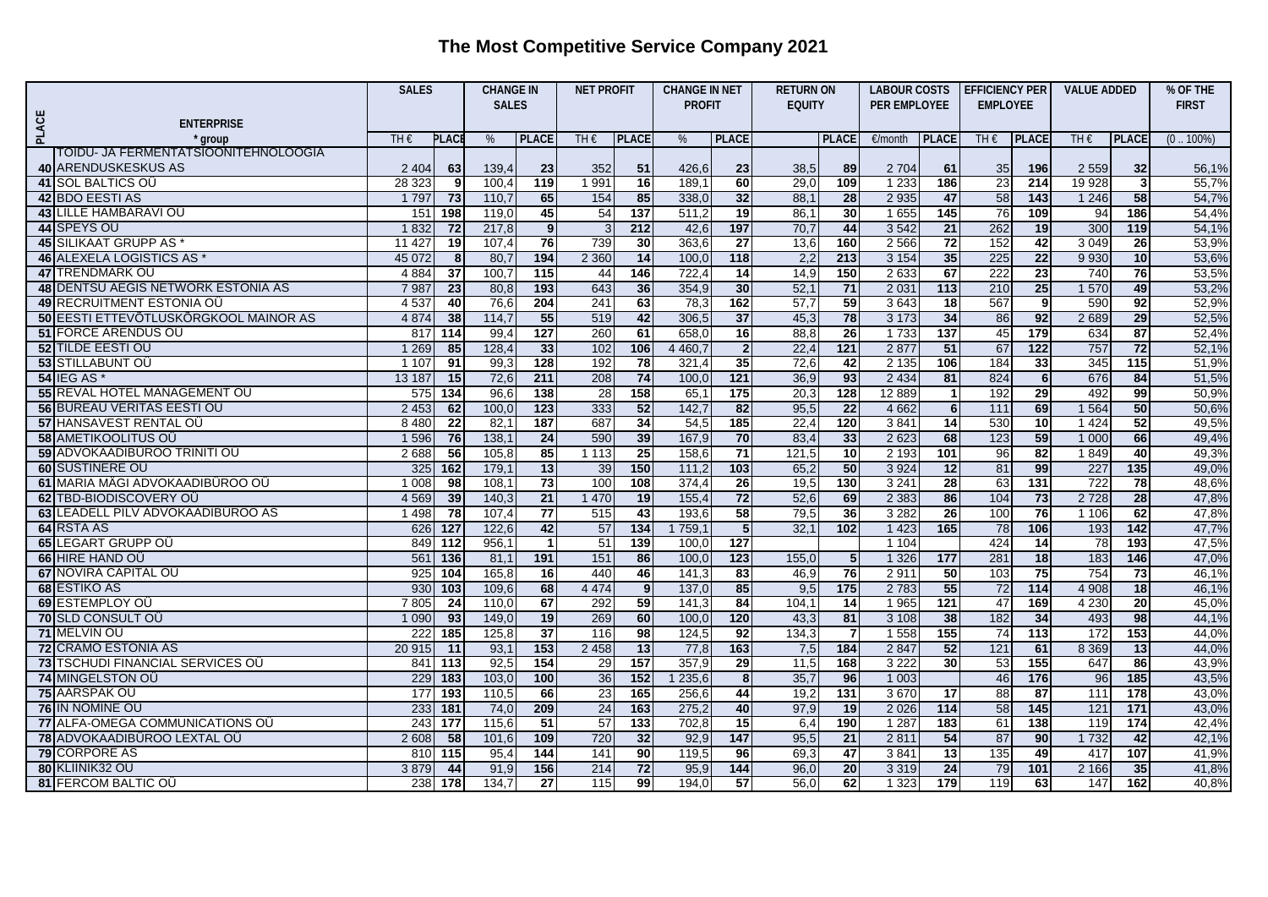## **The Most Competitive Service Company 2021**

|              |                                       | <b>SALES</b> |                  | <b>CHANGE IN</b> |                         | <b>NET PROFIT</b> |                 | <b>CHANGE IN NET</b> |                         | <b>RETURN ON</b> |                  |                     |                 | LABOUR COSTS EFFICIENCY PER |                   | <b>VALUE ADDED</b> |                  | % OF THE     |
|--------------|---------------------------------------|--------------|------------------|------------------|-------------------------|-------------------|-----------------|----------------------|-------------------------|------------------|------------------|---------------------|-----------------|-----------------------------|-------------------|--------------------|------------------|--------------|
|              |                                       |              |                  | <b>SALES</b>     |                         |                   |                 | <b>PROFIT</b>        |                         | <b>EQUITY</b>    |                  | <b>PER EMPLOYEE</b> |                 | <b>EMPLOYEE</b>             |                   |                    |                  | <b>FIRST</b> |
| <b>PLACE</b> | <b>ENTERPRISE</b>                     |              |                  |                  |                         |                   |                 |                      |                         |                  |                  |                     |                 |                             |                   |                    |                  |              |
|              | ' aroup                               | TH€          | <b>PLAC</b>      | %                | <b>PLACE</b>            | TH $\epsilon$     | <b>PLACE</b>    | %                    | <b>PLACE</b>            |                  | <b>PLACE</b>     | €/month             | <b>PLACE</b>    | TH $\epsilon$               | <b>PLACE</b>      | TH€                | <b>PLACE</b>     | $(0.100\%)$  |
|              | TOIDU- JA FERMENTATSIOONITEHNOLOOGIA  |              |                  |                  |                         |                   |                 |                      |                         |                  |                  |                     |                 |                             |                   |                    |                  |              |
|              | 40 ARENDUSKESKUS AS                   | 2 4 0 4      | 63               | 139,4            | 23                      | 352               | 51              | 426,6                | 23                      | 38,5             | 89               | 2704                | 61              | 35                          | 196               | 2 5 5 9            | 32               | 56,1%        |
|              | 41 SOL BALTICS OU                     | 28 323       | -9               | 100,4            | 119                     | 1 991             | 16              | 189,1                | 60                      | 29,0             | 109              | 1 2 3 3             | 186             | 23                          | 214               | 19 928             | 3 <sup>l</sup>   | 55,7%        |
|              | 42 BDO EESTI AS                       | 1797         | 73               | 110,7            | 65                      | 154               | 85              | 338,0                | 32                      | 88,1             | 28               | 2 9 3 5             | 47              | 58                          | $\overline{143}$  | 1 2 4 6            | 58               | 54,7%        |
|              | <b>43 LILLE HAMBARAVI OU</b>          | 151          | 198              | 119.0            | 45                      | 54                | 137             | 511,2                | $\overline{19}$         | 86,1             | 30               | 1655                | 145             | 76                          | 109               | 94                 | 186              | 54,4%        |
|              | 44 SPEYS OU                           | 1832         | $\overline{72}$  | 217,8            | 9 <sub>l</sub>          | 3                 | 212             | 42,6                 | 197                     | 70,7             | 44               | 3542                | 21              | 262                         | 19                | 300                | 119              | 54,1%        |
|              | 45 SILIKAAT GRUPP AS *                | 11 427       | 19               | 107,4            | 76                      | 739               | 30              | 363,6                | $\overline{27}$         | 13,6             | 160              | 2 5 6 6             | $\overline{72}$ | 152                         | 42                | 3 0 4 9            | 26               | 53,9%        |
|              | 46 ALEXELA LOGISTICS AS *             | 45 072       | 8                | 80,7             | 194                     | 2 3 6 0           | 14              | 100,0                | 118                     | 2,2              | 213              | 3 1 5 4             | 35              | 225                         | 22                | 9 9 3 0            | 10               | 53,6%        |
|              | 47 TRENDMARK OU                       | 4 8 8 4      | $\overline{37}$  | 100,7            | 115                     | 44                | $\frac{146}{ }$ | 722,4                | 14                      | 14,9             | 150              | 2633                | 67              | 222                         | 23                | 740                | 76               | 53,5%        |
|              | 48 DENTSU AEGIS NETWORK ESTONIA AS    | 7 9 87       | 23               | 80,8             | 193                     | 643               | 36              | 354,9                | 30                      | 52,1             | 71               | 2 0 3 1             | 113             | 210                         | 25                | 1570               | 49               | 53,2%        |
|              | 49 RECRUITMENT ESTONIA OÙ             | 4 5 37       | 40               | 76,6             | 204                     | 241               | 63              | 78,3                 | 162                     | 57,7             | 59               | 3643                | 18              | 567                         | 9                 | 590                | 92               | 52,9%        |
|              | 50 EESTI ETTEVÕTLUSKÖRGKOOL MAINOR AS | 4 8 7 4      | 38               | 114,7            | 55                      | 519               | 42              | 306,5                | 37                      | 45,3             | 78               | 3 1 7 3             | 34              | 86                          | 92                | 2689               | 29               | 52,5%        |
|              | <b>51 FORCE ARENDUS OU</b>            | 817          | 114              | 99,4             | 127                     | 260               | 61              | 658,0                | 16                      | 88,8             | 26               | 1733                | 137             | 45                          | 179               | 634                | 87               | 52.4%        |
|              | 52 TILDE EESTI OÜ                     | 1 2 6 9      | 85               | 128,4            | 33                      | 102               | 106             | 4 4 60,7             | $\overline{2}$          | 22,4             | $\overline{121}$ | 2 8 7 7             | 51              | 67                          | $\overline{122}$  | 757                | 72               | 52,1%        |
|              | <b>53 STILLABUNT OU</b>               | 1 1 0 7      | 91               | 99 <sub>1</sub>  | 128                     | 192               | 78              | 321,4                | 35                      | 72,6             | 42               | 2 1 3 5             | 106             | 184                         | $\overline{33}$   | 345                | 115              | 51,9%        |
|              | <b>54 IEG AS*</b>                     | 13 187       | 15               | 72,6             | 211                     | 208               | 74              | 100,0                | $\overline{121}$        | 36,9             | 93               | 2 4 3 4             | 81              | 824                         | $6 \overline{}$   | 676                | 84               | 51,5%        |
|              | 55 REVAL HOTEL MANAGEMENT OU          | 575          | 134              | 96,6             | 138                     | $\overline{28}$   | 158             | 65,1                 | 175                     | 20,3             | 128              | 12 8 89             | $\overline{1}$  | 192                         | 29                | 492                | 99               | 50,9%        |
|              | 56 BUREAU VERITAS EESTI OÜ            | 2 4 5 3      | 62               | 100, C           | 123                     | 333               | 52              | 142,7                | 82                      | 95,5             | 22               | 4 6 6 2             | 6               | $\overline{111}$            | 69                | 1 5 6 4            | 50               | 50,6%        |
|              | <b>57 HANSAVEST RENTAL OU</b>         | 8 4 8 0      | $\overline{22}$  | 82.7             | 187                     | 687               | 34              | 54,5                 | 185                     | 22,4             | 120              | 3841                | $\overline{14}$ | 530                         | 10                | 1 4 2 4            | 52               | 49,5%        |
|              | <b>58 AMETIKOOLITUS OU</b>            | 1 5 9 6      | 76               | 138,7            | 24                      | 590               | 39              | 167,9                | 70                      | 83,4             | 33               | 2 6 23              | 68              | 123                         | 59                | 1 0 0 0            | 66               | 49,4%        |
|              | 59 ADVOKAADIBÜROO TRINITI OÜ          | 2 6 8 8      | 56               | 105,8            | 85                      | 1113              | 25              | 158,6                | $\overline{71}$         | 121,5            | $\overline{10}$  | 2 1 9 3             | 101             | 96                          | 82                | 1849               | 40               | 49,3%        |
|              | 60 SUSTINERE OU                       | 325          | 162              | 179,1            | 13                      | 39                | 150             | 111,2                | 103                     | 65,2             | 50               | 3 9 2 4             | 12              | 81                          | 99                | 227                | 135              | 49,0%        |
|              | 61 MARIA MÄGI ADVOKAADIBÜROO OÜ       | 1 0 0 8      | $\overline{98}$  | 108,7            | $\overline{73}$         | 100               | 108             | 374,4                | 26                      | 19,5             | 130              | 3241                | 28              | 63                          | $\overline{131}$  | 722                | 78               | 48,6%        |
|              | 62 TBD-BIODISCOVERY OU                | 4 5 6 9      | 39               | 140,3            | $\overline{21}$         | 1 4 7 0           | 19              | 155,4                | 72                      | 52,6             | 69               | 2 3 8 3             | 86              | 104                         | 73                | 2728               | 28               | 47,8%        |
|              | 63 LEADELL PILV ADVOKAADIBÜROO AS     | 1 4 9 8      | $\overline{78}$  | 107,4            | 77                      | 515               | 43              | 193,6                | 58                      | 79,5             | 36               | 3 2 8 2             | 26              | 100                         | 76                | 1 1 0 6            | 62               | 47,8%        |
|              | 64 RSTA AS                            | 626          | $\overline{127}$ | 122,6            | 42                      | 57                | 134             | 1759,7               | 5                       | 32,1             | 102              | 1 4 2 3             | 165             | 78                          | 106               | 193                | $142$            | 47,7%        |
|              | <b>65 LEGART GRUPP OU</b>             | 849          | 112              | 956.             | $\overline{\mathbf{1}}$ | 51                | 139             | 100,0                | 127                     |                  |                  | 1 1 0 4             |                 | 424                         | 14                | 78                 | 193              | 47,5%        |
|              | 66 HIRE HAND OU                       | 561          | 136              | 81,1             | 191                     | 151               | 86              | 100,0                | $\overline{123}$        | 155,0            | 5 <sub>l</sub>   | 1 3 2 6             | 177             | 281                         | 18                | 183                | 146              | 47,0%        |
|              | <b>67 NOVIRA CAPITAL OU</b>           | 925          | 104              | 165,8            | 16                      | 440               | 46              | 141,3                | 83                      | 46,9             | 76               | 2911                | 50              | 103                         | 75                | 754                | 73               | 46,1%        |
|              | 68 ESTIKO AS                          | 930          | 103              | 109,6            | 68                      | 4 4 7 4           | 9               | 137,0                | 85                      | 9,5              | 175              | 2 7 8 3             | 55              | $\overline{72}$             | $\frac{114}{114}$ | 4 9 0 8            | 18               | 46,1%        |
|              | 69 ESTEMPLOY OU                       | 7 805        | 24               | 110,0            | 67                      | 292               | 59              | 141,3                | 84                      | 104,1            | 14               | 1 9 6 5             | 121             | 47                          | 169               | 4 2 3 0            | 20               | 45,0%        |
|              | <b>70 SLD CONSULT OU</b>              | 1090         | 93               | 149,0            | 19                      | 269               | 60              | 100,0                | 120                     | 43,3             | 81               | 3 1 0 8             | 38              | 182                         | 34                | 493                | 98               | 44,1%        |
|              | 71 MELVIN OU                          | 222          | 185              | 125,8            | $\overline{37}$         | 116               | 98              | 124,5                | 92                      | 134,3            | 7                | 1558                | 155             | $\overline{74}$             | 113               | 172                | 153              | 44,0%        |
|              | <b>72 CRAMO ESTONIA AS</b>            | 20 915       | 11               | 93,7             | 153                     | 2 4 5 8           | 13              | 77,8                 | 163                     | 7,5              | 184              | 2847                | 52              | 121                         | 61                | 8 3 6 9            | 13               | 44.0%        |
|              | 73 TSCHUDI FINANCIAL SERVICES OU      | 841          | 113              | 92,5             | 154                     | 29                | 157             | 357,9                | 29                      | 11,5             | 168              | 3 2 2 2             | 30              | 53                          | 155               | 647                | 86               | 43,9%        |
|              | 74 MINGELSTON OU                      | 229          | 183              | 103,0            | 100                     | 36                | $152$           | 1 235,6              | $\overline{\mathbf{8}}$ | 35,7             | 96               | 1 0 0 3             |                 | 46                          | 176               | 96                 | 185              | 43,5%        |
|              | 75 AARSPAK OÜ                         | 177          | 193              | 110,5            | 66                      | 23                | 165             | 256,6                | 44                      | 19,2             | 131              | 3670                | 17              | 88                          | $\overline{87}$   | 111                | 178              | 43,0%        |
|              | 76 IN NOMINE OU                       | 233          | 181              | 74,0             | 209                     | 24                | 163             | 275,2                | 40                      | 97,9             | 19               | 2 0 2 6             | $114$           | 58                          | 145               | 121                | $\overline{171}$ | 43,0%        |
|              | 77 ALFA-OMEGA COMMUNICATIONS OU       | 243          | 177              | 115,6            | $\overline{51}$         | 57                | 133             | 702,8                | 15                      | 6,4              | 190              | 1 2 8 7             | 183             | 61                          | 138               | 119                | 174              | 42,4%        |
|              | 78 ADVOKAADIBÜROO LEXTAL OÜ           | 2 6 0 8      | 58               | 101,6            | 109                     | 720               | 32              | 92,9                 | 147                     | 95,5             | 21               | 2811                | 54              | 87                          | 90                | 1732               | 42               | 42,1%        |
|              | 79 CORPORE AS                         | 810          | 115              | 95.4             | 144                     | 141               | 90              | 119,5                | 96                      | 69,3             | 47               | 3841                | 13              | 135                         | 49                | 417                | 107              | 41,9%        |
|              | 80 KLIINIK32 OÜ                       | 3879         | 44               | 91,9             | 156                     | 214               | 72              | 95,9                 | 144                     | 96,0             | 20               | 3319                | 24              | 79                          | 101               | 2 1 6 6            | 35               | 41,8%        |
|              | <b>81 FERCOM BALTIC OU</b>            | 238          | $\overline{178}$ | 134,7            | $\overline{27}$         | $\overline{115}$  | 99              | 194,0                | 57                      | 56,0             | 62               | 1 3 2 3             | 179             | 119                         | 63                | 147                | 162              | 40,8%        |